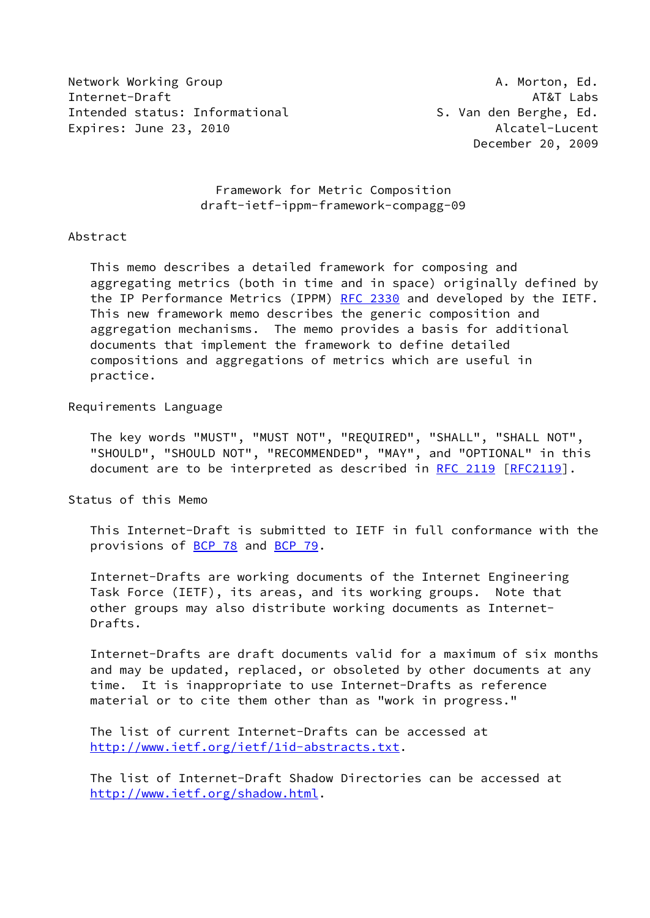Network Working Group **A. Morton, Ed.** A. Morton, Ed. Internet-Draft AT&T Labs Intended status: Informational The S. Van den Berghe, Ed. Expires: June 23, 2010 **Alcatel-Lucent** Alcatel-Lucent

December 20, 2009

# Framework for Metric Composition draft-ietf-ippm-framework-compagg-09

#### Abstract

 This memo describes a detailed framework for composing and aggregating metrics (both in time and in space) originally defined by the IP Performance Metrics (IPPM) [RFC 2330](https://datatracker.ietf.org/doc/pdf/rfc2330) and developed by the IETF. This new framework memo describes the generic composition and aggregation mechanisms. The memo provides a basis for additional documents that implement the framework to define detailed compositions and aggregations of metrics which are useful in practice.

# Requirements Language

 The key words "MUST", "MUST NOT", "REQUIRED", "SHALL", "SHALL NOT", "SHOULD", "SHOULD NOT", "RECOMMENDED", "MAY", and "OPTIONAL" in this document are to be interpreted as described in [RFC 2119 \[RFC2119](https://datatracker.ietf.org/doc/pdf/rfc2119)].

Status of this Memo

 This Internet-Draft is submitted to IETF in full conformance with the provisions of [BCP 78](https://datatracker.ietf.org/doc/pdf/bcp78) and [BCP 79](https://datatracker.ietf.org/doc/pdf/bcp79).

 Internet-Drafts are working documents of the Internet Engineering Task Force (IETF), its areas, and its working groups. Note that other groups may also distribute working documents as Internet- Drafts.

 Internet-Drafts are draft documents valid for a maximum of six months and may be updated, replaced, or obsoleted by other documents at any time. It is inappropriate to use Internet-Drafts as reference material or to cite them other than as "work in progress."

 The list of current Internet-Drafts can be accessed at <http://www.ietf.org/ietf/1id-abstracts.txt>.

 The list of Internet-Draft Shadow Directories can be accessed at <http://www.ietf.org/shadow.html>.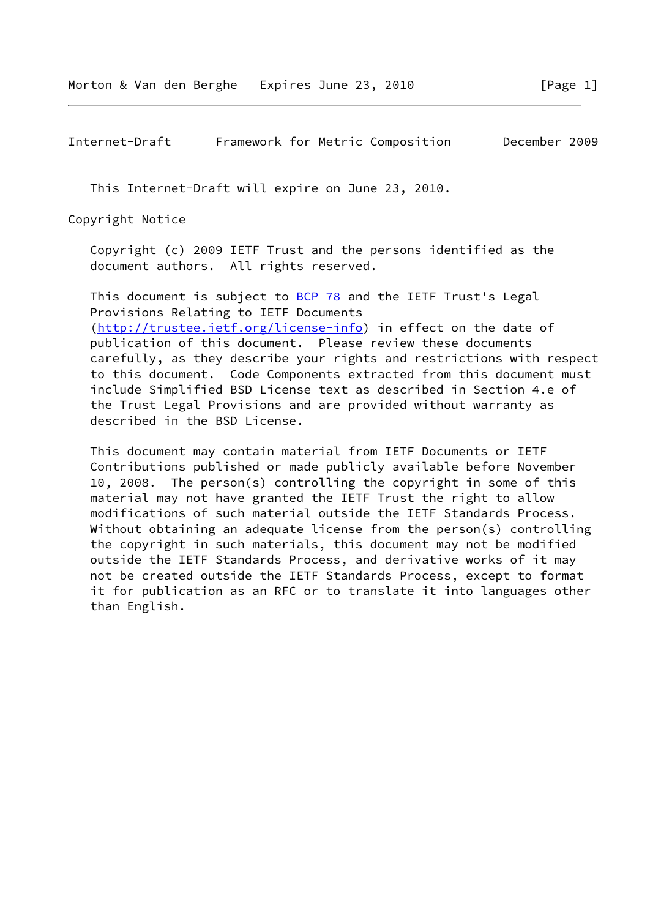Internet-Draft Framework for Metric Composition December 2009

This Internet-Draft will expire on June 23, 2010.

Copyright Notice

 Copyright (c) 2009 IETF Trust and the persons identified as the document authors. All rights reserved.

This document is subject to **[BCP 78](https://datatracker.ietf.org/doc/pdf/bcp78)** and the IETF Trust's Legal Provisions Relating to IETF Documents [\(http://trustee.ietf.org/license-info](http://trustee.ietf.org/license-info)) in effect on the date of publication of this document. Please review these documents carefully, as they describe your rights and restrictions with respect to this document. Code Components extracted from this document must include Simplified BSD License text as described in Section 4.e of the Trust Legal Provisions and are provided without warranty as described in the BSD License.

 This document may contain material from IETF Documents or IETF Contributions published or made publicly available before November 10, 2008. The person(s) controlling the copyright in some of this material may not have granted the IETF Trust the right to allow modifications of such material outside the IETF Standards Process. Without obtaining an adequate license from the person(s) controlling the copyright in such materials, this document may not be modified outside the IETF Standards Process, and derivative works of it may not be created outside the IETF Standards Process, except to format it for publication as an RFC or to translate it into languages other than English.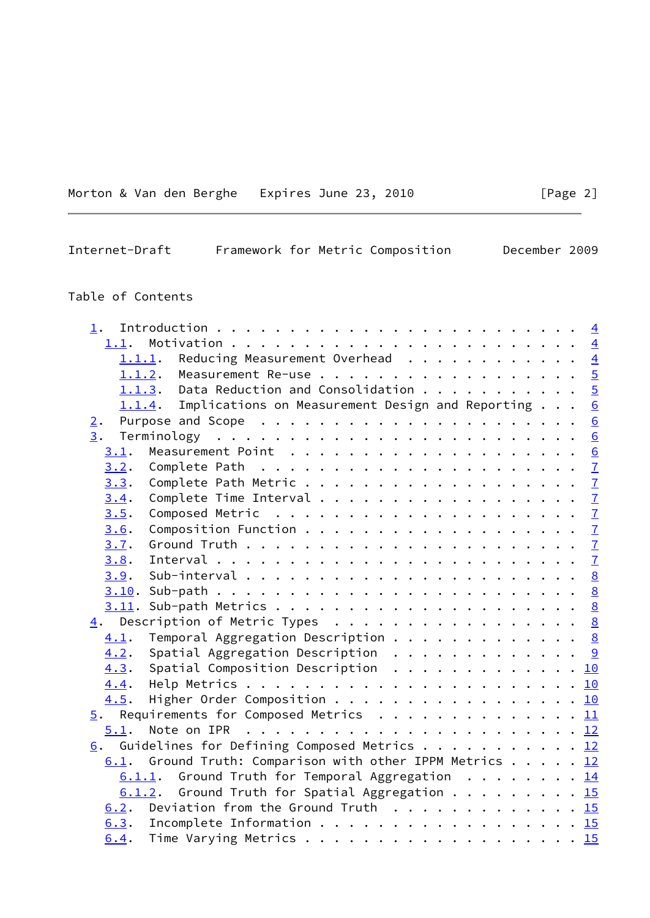Morton & Van den Berghe Expires June 23, 2010 [Page 2]

Internet-Draft Framework for Metric Composition December 2009

# Table of Contents

| 1.               |      |                                                                           |  |  |  |  | $\overline{4}$  |
|------------------|------|---------------------------------------------------------------------------|--|--|--|--|-----------------|
|                  | 1.1. |                                                                           |  |  |  |  | $\overline{4}$  |
|                  |      | Reducing Measurement Overhead<br>1.1.1.                                   |  |  |  |  | $\overline{4}$  |
|                  |      | 1.1.2. Measurement Re-use 5                                               |  |  |  |  |                 |
|                  |      | 1.1.3. Data Reduction and Consolidation $\frac{5}{2}$                     |  |  |  |  |                 |
|                  |      | $1.1.4$ . Implications on Measurement Design and Reporting                |  |  |  |  | $\underline{6}$ |
| 2.               |      |                                                                           |  |  |  |  | $\underline{6}$ |
| $\overline{3}$ . |      |                                                                           |  |  |  |  | 6               |
|                  | 3.1. |                                                                           |  |  |  |  | $\underline{6}$ |
|                  | 3.2. | Complete Path $\ldots \ldots \ldots \ldots \ldots \ldots \ldots$          |  |  |  |  |                 |
|                  | 3.3. |                                                                           |  |  |  |  |                 |
|                  | 3.4. | Complete Time Interval $\frac{7}{2}$                                      |  |  |  |  |                 |
|                  | 3.5. | Composed Metric $\ldots \ldots \ldots \ldots \ldots \ldots \ldots \ldots$ |  |  |  |  |                 |
|                  | 3.6. |                                                                           |  |  |  |  |                 |
|                  | 3.7. |                                                                           |  |  |  |  |                 |
|                  | 3.8. |                                                                           |  |  |  |  |                 |
|                  | 3.9. |                                                                           |  |  |  |  |                 |
|                  |      |                                                                           |  |  |  |  |                 |
|                  |      |                                                                           |  |  |  |  |                 |
|                  |      | $\underline{4}$ . Description of Metric Types 8                           |  |  |  |  |                 |
|                  | 4.1. | Temporal Aggregation Description 8                                        |  |  |  |  |                 |
|                  | 4.2. | Spatial Aggregation Description 9                                         |  |  |  |  |                 |
|                  | 4.3. | Spatial Composition Description 10                                        |  |  |  |  |                 |
|                  | 4.4. |                                                                           |  |  |  |  |                 |
|                  | 4.5. | Higher Order Composition 10                                               |  |  |  |  |                 |
|                  |      | $\frac{5}{2}$ . Requirements for Composed Metrics 11                      |  |  |  |  |                 |
|                  | 5.1. |                                                                           |  |  |  |  |                 |
|                  |      | 6. Guidelines for Defining Composed Metrics 12                            |  |  |  |  |                 |
|                  |      | 6.1. Ground Truth: Comparison with other IPPM Metrics 12                  |  |  |  |  |                 |
|                  |      |                                                                           |  |  |  |  |                 |
|                  |      | $6.1.1.$ Ground Truth for Temporal Aggregation 14                         |  |  |  |  |                 |
|                  |      | $6.1.2$ . Ground Truth for Spatial Aggregation 15                         |  |  |  |  |                 |
|                  |      | 6.2. Deviation from the Ground Truth 15                                   |  |  |  |  |                 |
|                  |      | 6.3. Incomplete Information 15                                            |  |  |  |  |                 |
|                  | 6.4. |                                                                           |  |  |  |  |                 |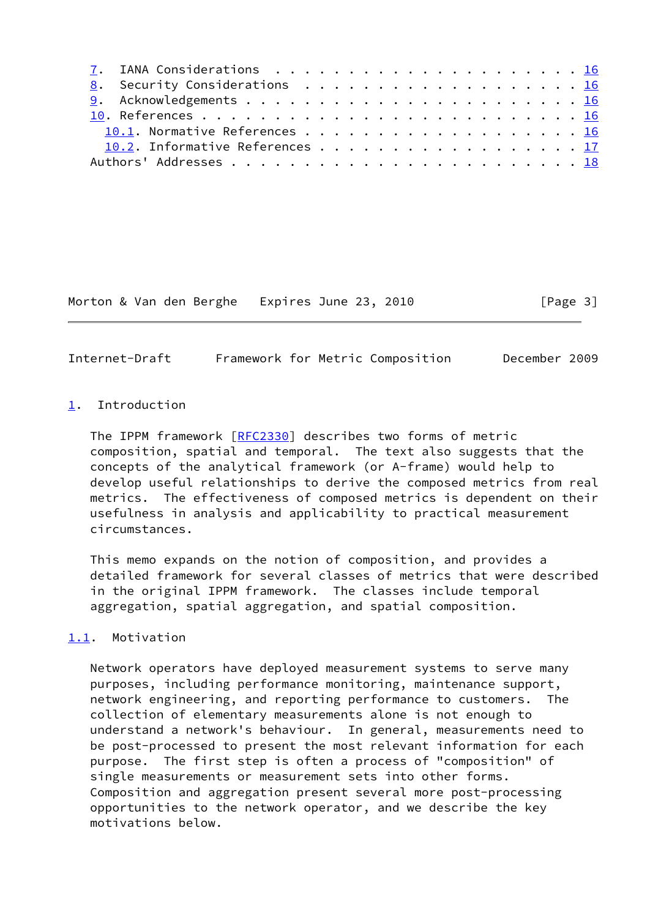| 8. Security Considerations 16   |  |
|---------------------------------|--|
|                                 |  |
|                                 |  |
| 10.1. Normative References 16   |  |
| 10.2. Informative References 17 |  |
|                                 |  |
|                                 |  |

Morton & Van den Berghe Expires June 23, 2010 [Page 3]

<span id="page-3-1"></span>Internet-Draft Framework for Metric Composition December 2009

### <span id="page-3-0"></span>[1](#page-3-0). Introduction

The IPPM framework [[RFC2330\]](https://datatracker.ietf.org/doc/pdf/rfc2330) describes two forms of metric composition, spatial and temporal. The text also suggests that the concepts of the analytical framework (or A-frame) would help to develop useful relationships to derive the composed metrics from real metrics. The effectiveness of composed metrics is dependent on their usefulness in analysis and applicability to practical measurement circumstances.

 This memo expands on the notion of composition, and provides a detailed framework for several classes of metrics that were described in the original IPPM framework. The classes include temporal aggregation, spatial aggregation, and spatial composition.

# <span id="page-3-2"></span>[1.1](#page-3-2). Motivation

 Network operators have deployed measurement systems to serve many purposes, including performance monitoring, maintenance support, network engineering, and reporting performance to customers. The collection of elementary measurements alone is not enough to understand a network's behaviour. In general, measurements need to be post-processed to present the most relevant information for each purpose. The first step is often a process of "composition" of single measurements or measurement sets into other forms. Composition and aggregation present several more post-processing opportunities to the network operator, and we describe the key motivations below.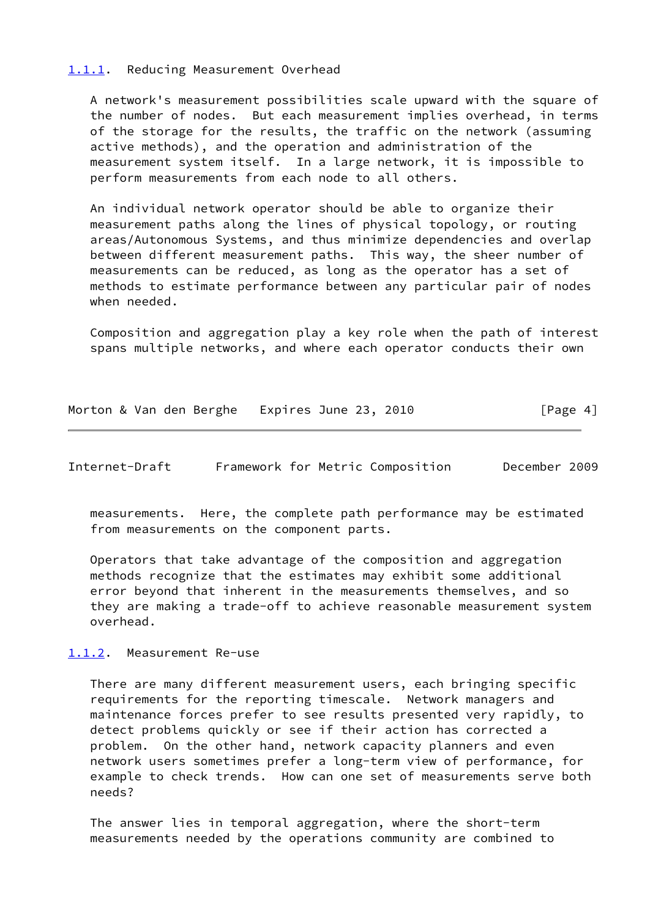#### <span id="page-4-0"></span>[1.1.1](#page-4-0). Reducing Measurement Overhead

 A network's measurement possibilities scale upward with the square of the number of nodes. But each measurement implies overhead, in terms of the storage for the results, the traffic on the network (assuming active methods), and the operation and administration of the measurement system itself. In a large network, it is impossible to perform measurements from each node to all others.

 An individual network operator should be able to organize their measurement paths along the lines of physical topology, or routing areas/Autonomous Systems, and thus minimize dependencies and overlap between different measurement paths. This way, the sheer number of measurements can be reduced, as long as the operator has a set of methods to estimate performance between any particular pair of nodes when needed.

 Composition and aggregation play a key role when the path of interest spans multiple networks, and where each operator conducts their own

| Morton & Van den Berghe Expires June 23, 2010 | [Page 4] |
|-----------------------------------------------|----------|
|-----------------------------------------------|----------|

<span id="page-4-2"></span>Internet-Draft Framework for Metric Composition December 2009

 measurements. Here, the complete path performance may be estimated from measurements on the component parts.

 Operators that take advantage of the composition and aggregation methods recognize that the estimates may exhibit some additional error beyond that inherent in the measurements themselves, and so they are making a trade-off to achieve reasonable measurement system overhead.

<span id="page-4-1"></span>[1.1.2](#page-4-1). Measurement Re-use

 There are many different measurement users, each bringing specific requirements for the reporting timescale. Network managers and maintenance forces prefer to see results presented very rapidly, to detect problems quickly or see if their action has corrected a problem. On the other hand, network capacity planners and even network users sometimes prefer a long-term view of performance, for example to check trends. How can one set of measurements serve both needs?

 The answer lies in temporal aggregation, where the short-term measurements needed by the operations community are combined to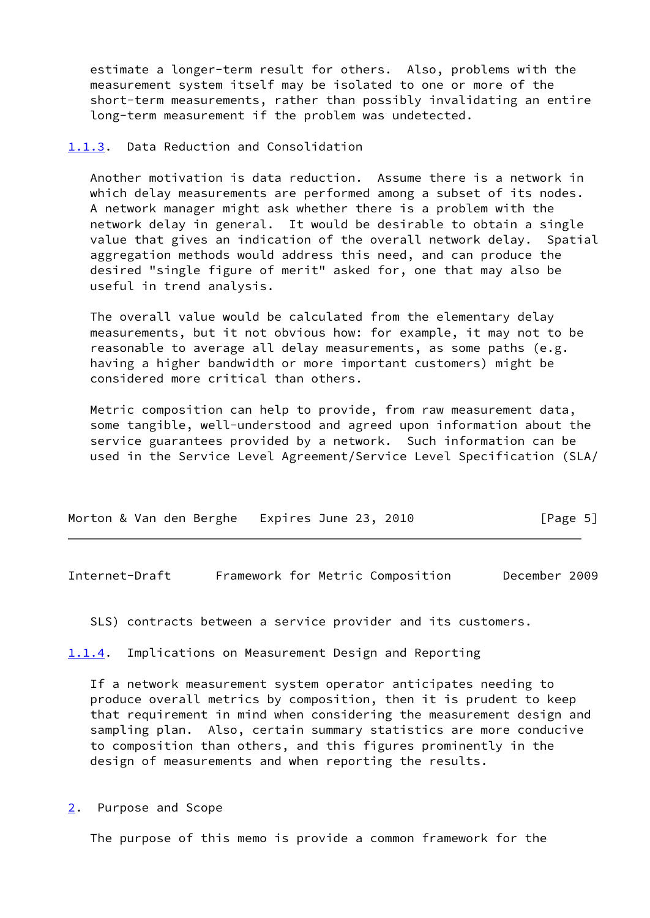estimate a longer-term result for others. Also, problems with the measurement system itself may be isolated to one or more of the short-term measurements, rather than possibly invalidating an entire long-term measurement if the problem was undetected.

#### <span id="page-5-0"></span>[1.1.3](#page-5-0). Data Reduction and Consolidation

 Another motivation is data reduction. Assume there is a network in which delay measurements are performed among a subset of its nodes. A network manager might ask whether there is a problem with the network delay in general. It would be desirable to obtain a single value that gives an indication of the overall network delay. Spatial aggregation methods would address this need, and can produce the desired "single figure of merit" asked for, one that may also be useful in trend analysis.

 The overall value would be calculated from the elementary delay measurements, but it not obvious how: for example, it may not to be reasonable to average all delay measurements, as some paths (e.g. having a higher bandwidth or more important customers) might be considered more critical than others.

 Metric composition can help to provide, from raw measurement data, some tangible, well-understood and agreed upon information about the service guarantees provided by a network. Such information can be used in the Service Level Agreement/Service Level Specification (SLA/

| Morton & Van den Berghe Expires June 23, 2010 |  | [Page 5] |
|-----------------------------------------------|--|----------|
|-----------------------------------------------|--|----------|

<span id="page-5-2"></span>Internet-Draft Framework for Metric Composition December 2009

SLS) contracts between a service provider and its customers.

<span id="page-5-1"></span>[1.1.4](#page-5-1). Implications on Measurement Design and Reporting

 If a network measurement system operator anticipates needing to produce overall metrics by composition, then it is prudent to keep that requirement in mind when considering the measurement design and sampling plan. Also, certain summary statistics are more conducive to composition than others, and this figures prominently in the design of measurements and when reporting the results.

<span id="page-5-3"></span>[2](#page-5-3). Purpose and Scope

The purpose of this memo is provide a common framework for the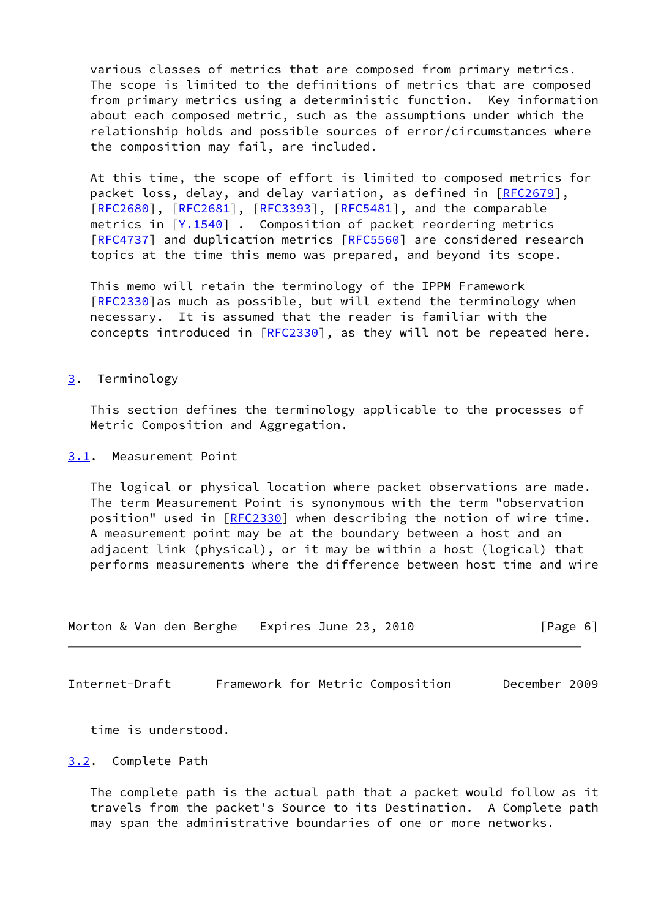various classes of metrics that are composed from primary metrics. The scope is limited to the definitions of metrics that are composed from primary metrics using a deterministic function. Key information about each composed metric, such as the assumptions under which the relationship holds and possible sources of error/circumstances where the composition may fail, are included.

 At this time, the scope of effort is limited to composed metrics for packet loss, delay, and delay variation, as defined in [\[RFC2679](https://datatracker.ietf.org/doc/pdf/rfc2679)], [\[RFC2680](https://datatracker.ietf.org/doc/pdf/rfc2680)], [[RFC2681\]](https://datatracker.ietf.org/doc/pdf/rfc2681), [[RFC3393](https://datatracker.ietf.org/doc/pdf/rfc3393)], [\[RFC5481](https://datatracker.ietf.org/doc/pdf/rfc5481)], and the comparable metrics in  $[Y.1540]$  $[Y.1540]$  $[Y.1540]$ . Composition of packet reordering metrics [\[RFC4737](https://datatracker.ietf.org/doc/pdf/rfc4737)] and duplication metrics [[RFC5560](https://datatracker.ietf.org/doc/pdf/rfc5560)] are considered research topics at the time this memo was prepared, and beyond its scope.

 This memo will retain the terminology of the IPPM Framework [\[RFC2330](https://datatracker.ietf.org/doc/pdf/rfc2330)]as much as possible, but will extend the terminology when necessary. It is assumed that the reader is familiar with the concepts introduced in [\[RFC2330](https://datatracker.ietf.org/doc/pdf/rfc2330)], as they will not be repeated here.

### <span id="page-6-0"></span>[3](#page-6-0). Terminology

 This section defines the terminology applicable to the processes of Metric Composition and Aggregation.

# <span id="page-6-1"></span>[3.1](#page-6-1). Measurement Point

 The logical or physical location where packet observations are made. The term Measurement Point is synonymous with the term "observation position" used in [[RFC2330](https://datatracker.ietf.org/doc/pdf/rfc2330)] when describing the notion of wire time. A measurement point may be at the boundary between a host and an adjacent link (physical), or it may be within a host (logical) that performs measurements where the difference between host time and wire

| Morton & Van den Berghe Expires June 23, 2010 |  |  |  |  | [Page 6] |  |
|-----------------------------------------------|--|--|--|--|----------|--|
|-----------------------------------------------|--|--|--|--|----------|--|

<span id="page-6-3"></span>Internet-Draft Framework for Metric Composition December 2009

time is understood.

#### <span id="page-6-2"></span>[3.2](#page-6-2). Complete Path

 The complete path is the actual path that a packet would follow as it travels from the packet's Source to its Destination. A Complete path may span the administrative boundaries of one or more networks.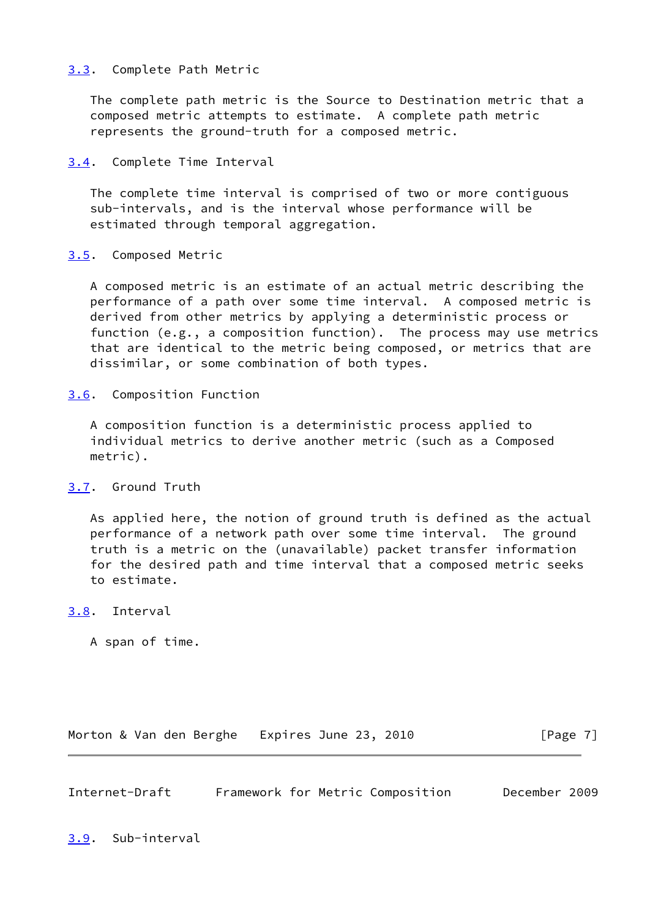# <span id="page-7-0"></span>[3.3](#page-7-0). Complete Path Metric

 The complete path metric is the Source to Destination metric that a composed metric attempts to estimate. A complete path metric represents the ground-truth for a composed metric.

<span id="page-7-1"></span>[3.4](#page-7-1). Complete Time Interval

 The complete time interval is comprised of two or more contiguous sub-intervals, and is the interval whose performance will be estimated through temporal aggregation.

# <span id="page-7-2"></span>[3.5](#page-7-2). Composed Metric

 A composed metric is an estimate of an actual metric describing the performance of a path over some time interval. A composed metric is derived from other metrics by applying a deterministic process or function (e.g., a composition function). The process may use metrics that are identical to the metric being composed, or metrics that are dissimilar, or some combination of both types.

<span id="page-7-3"></span>[3.6](#page-7-3). Composition Function

 A composition function is a deterministic process applied to individual metrics to derive another metric (such as a Composed metric).

# <span id="page-7-4"></span>[3.7](#page-7-4). Ground Truth

 As applied here, the notion of ground truth is defined as the actual performance of a network path over some time interval. The ground truth is a metric on the (unavailable) packet transfer information for the desired path and time interval that a composed metric seeks to estimate.

<span id="page-7-5"></span>[3.8](#page-7-5). Interval

A span of time.

Morton & Van den Berghe Expires June 23, 2010 [Page 7]

<span id="page-7-7"></span><span id="page-7-6"></span>Internet-Draft Framework for Metric Composition December 2009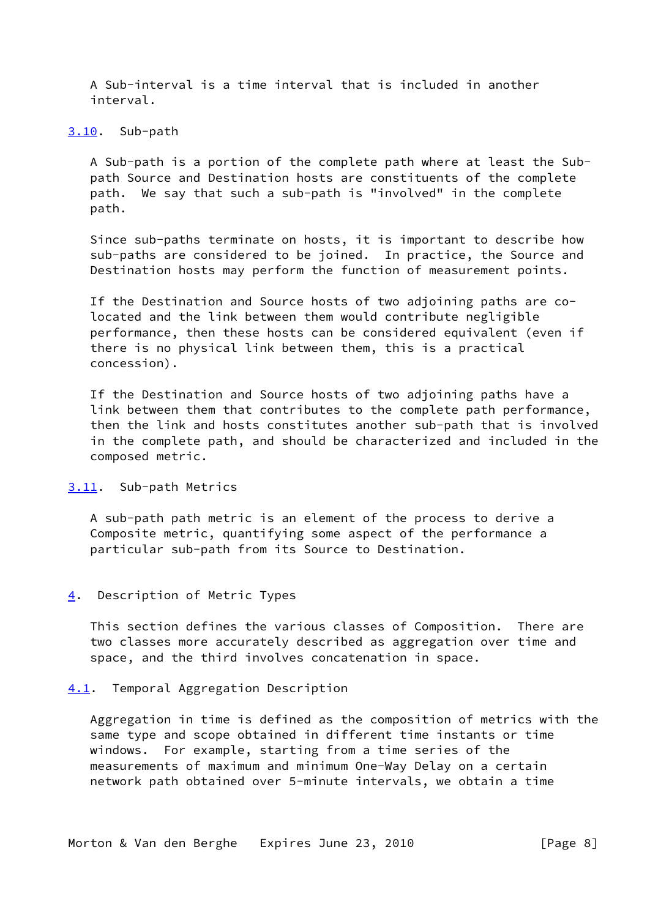A Sub-interval is a time interval that is included in another interval.

#### <span id="page-8-0"></span>[3.10](#page-8-0). Sub-path

 A Sub-path is a portion of the complete path where at least the Sub path Source and Destination hosts are constituents of the complete path. We say that such a sub-path is "involved" in the complete path.

 Since sub-paths terminate on hosts, it is important to describe how sub-paths are considered to be joined. In practice, the Source and Destination hosts may perform the function of measurement points.

 If the Destination and Source hosts of two adjoining paths are co located and the link between them would contribute negligible performance, then these hosts can be considered equivalent (even if there is no physical link between them, this is a practical concession).

 If the Destination and Source hosts of two adjoining paths have a link between them that contributes to the complete path performance, then the link and hosts constitutes another sub-path that is involved in the complete path, and should be characterized and included in the composed metric.

# <span id="page-8-1"></span>[3.11](#page-8-1). Sub-path Metrics

 A sub-path path metric is an element of the process to derive a Composite metric, quantifying some aspect of the performance a particular sub-path from its Source to Destination.

# <span id="page-8-2"></span>[4](#page-8-2). Description of Metric Types

 This section defines the various classes of Composition. There are two classes more accurately described as aggregation over time and space, and the third involves concatenation in space.

#### <span id="page-8-3"></span>[4.1](#page-8-3). Temporal Aggregation Description

 Aggregation in time is defined as the composition of metrics with the same type and scope obtained in different time instants or time windows. For example, starting from a time series of the measurements of maximum and minimum One-Way Delay on a certain network path obtained over 5-minute intervals, we obtain a time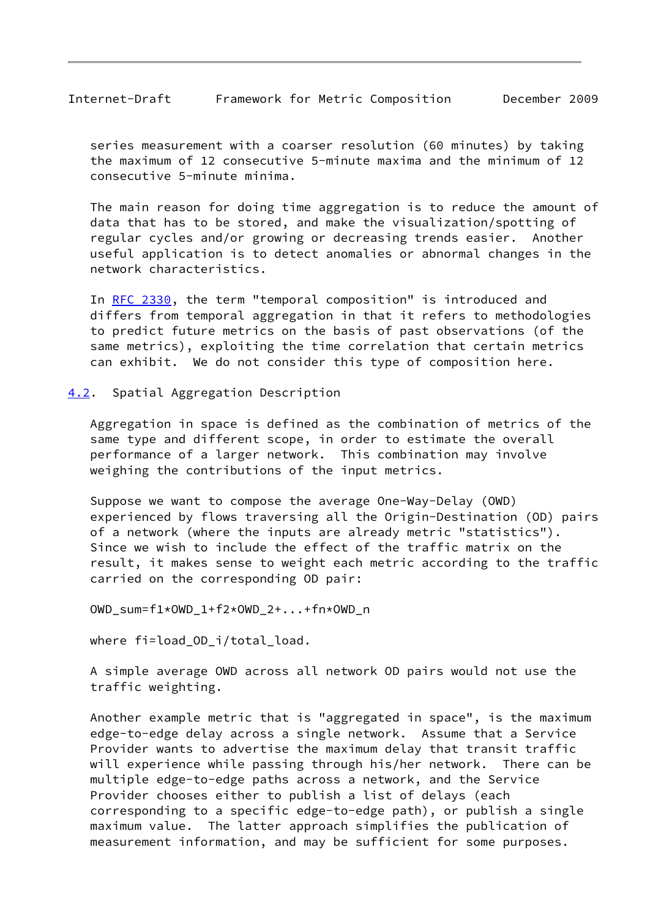<span id="page-9-1"></span> series measurement with a coarser resolution (60 minutes) by taking the maximum of 12 consecutive 5-minute maxima and the minimum of 12 consecutive 5-minute minima.

 The main reason for doing time aggregation is to reduce the amount of data that has to be stored, and make the visualization/spotting of regular cycles and/or growing or decreasing trends easier. Another useful application is to detect anomalies or abnormal changes in the network characteristics.

 In [RFC 2330,](https://datatracker.ietf.org/doc/pdf/rfc2330) the term "temporal composition" is introduced and differs from temporal aggregation in that it refers to methodologies to predict future metrics on the basis of past observations (of the same metrics), exploiting the time correlation that certain metrics can exhibit. We do not consider this type of composition here.

<span id="page-9-0"></span>[4.2](#page-9-0). Spatial Aggregation Description

 Aggregation in space is defined as the combination of metrics of the same type and different scope, in order to estimate the overall performance of a larger network. This combination may involve weighing the contributions of the input metrics.

 Suppose we want to compose the average One-Way-Delay (OWD) experienced by flows traversing all the Origin-Destination (OD) pairs of a network (where the inputs are already metric "statistics"). Since we wish to include the effect of the traffic matrix on the result, it makes sense to weight each metric according to the traffic carried on the corresponding OD pair:

OWD\_sum=f1\*OWD\_1+f2\*OWD\_2+...+fn\*OWD\_n

where fi=load\_OD\_i/total\_load.

 A simple average OWD across all network OD pairs would not use the traffic weighting.

 Another example metric that is "aggregated in space", is the maximum edge-to-edge delay across a single network. Assume that a Service Provider wants to advertise the maximum delay that transit traffic will experience while passing through his/her network. There can be multiple edge-to-edge paths across a network, and the Service Provider chooses either to publish a list of delays (each corresponding to a specific edge-to-edge path), or publish a single maximum value. The latter approach simplifies the publication of measurement information, and may be sufficient for some purposes.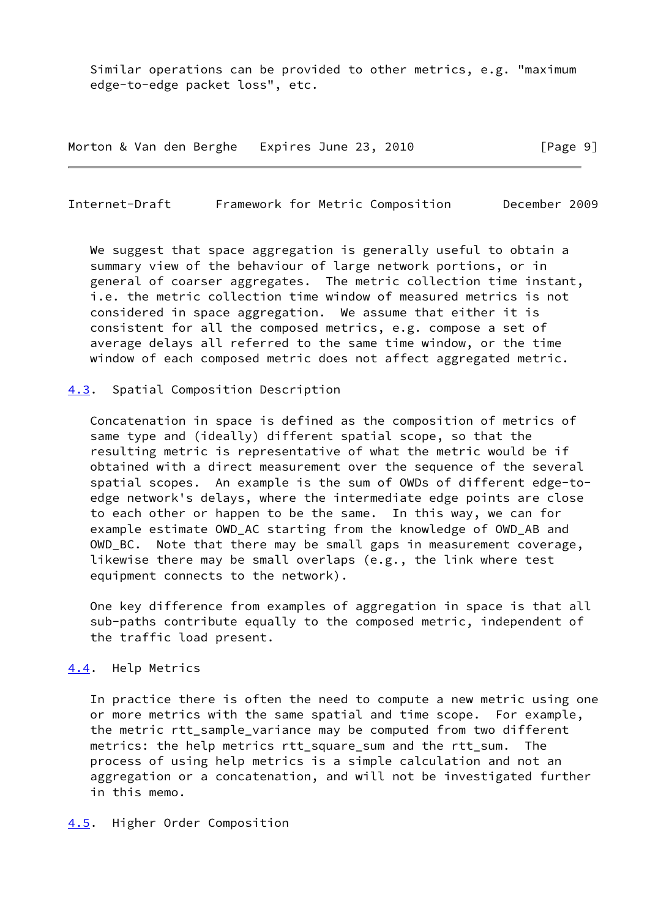Similar operations can be provided to other metrics, e.g. "maximum edge-to-edge packet loss", etc.

Morton & Van den Berghe Expires June 23, 2010 [Page 9]

<span id="page-10-1"></span>Internet-Draft Framework for Metric Composition December 2009

We suggest that space aggregation is generally useful to obtain a summary view of the behaviour of large network portions, or in general of coarser aggregates. The metric collection time instant, i.e. the metric collection time window of measured metrics is not considered in space aggregation. We assume that either it is consistent for all the composed metrics, e.g. compose a set of average delays all referred to the same time window, or the time window of each composed metric does not affect aggregated metric.

#### <span id="page-10-0"></span>[4.3](#page-10-0). Spatial Composition Description

 Concatenation in space is defined as the composition of metrics of same type and (ideally) different spatial scope, so that the resulting metric is representative of what the metric would be if obtained with a direct measurement over the sequence of the several spatial scopes. An example is the sum of OWDs of different edge-to edge network's delays, where the intermediate edge points are close to each other or happen to be the same. In this way, we can for example estimate OWD\_AC starting from the knowledge of OWD\_AB and OWD\_BC. Note that there may be small gaps in measurement coverage, likewise there may be small overlaps (e.g., the link where test equipment connects to the network).

 One key difference from examples of aggregation in space is that all sub-paths contribute equally to the composed metric, independent of the traffic load present.

#### <span id="page-10-2"></span>[4.4](#page-10-2). Help Metrics

 In practice there is often the need to compute a new metric using one or more metrics with the same spatial and time scope. For example, the metric rtt\_sample\_variance may be computed from two different metrics: the help metrics rtt\_square\_sum and the rtt\_sum. The process of using help metrics is a simple calculation and not an aggregation or a concatenation, and will not be investigated further in this memo.

#### <span id="page-10-3"></span>[4.5](#page-10-3). Higher Order Composition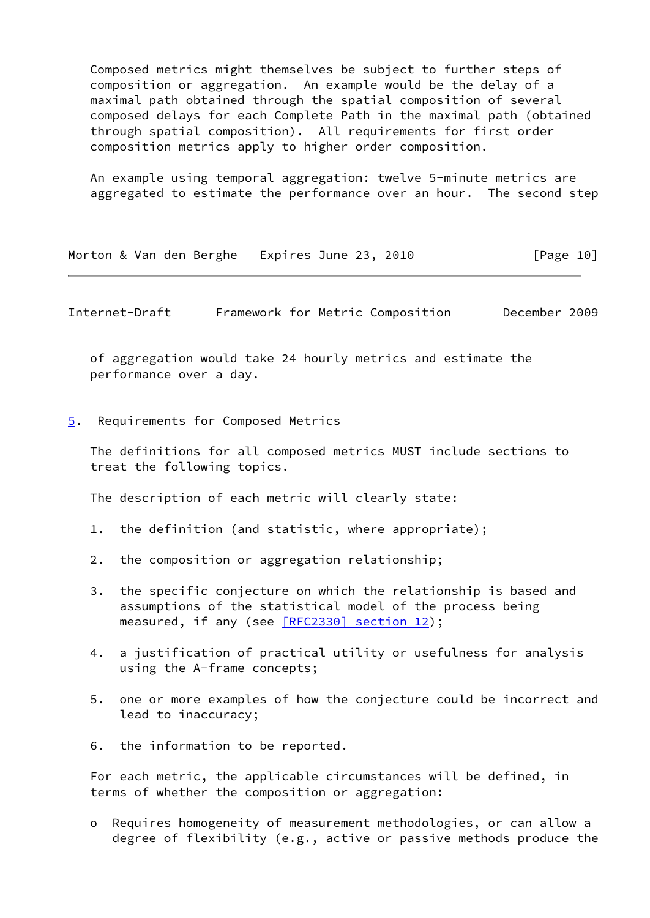Composed metrics might themselves be subject to further steps of composition or aggregation. An example would be the delay of a maximal path obtained through the spatial composition of several composed delays for each Complete Path in the maximal path (obtained through spatial composition). All requirements for first order composition metrics apply to higher order composition.

 An example using temporal aggregation: twelve 5-minute metrics are aggregated to estimate the performance over an hour. The second step

| Morton & Van den Berghe Expires June 23, 2010 |  |  |  |  |  | [Page 10] |
|-----------------------------------------------|--|--|--|--|--|-----------|
|-----------------------------------------------|--|--|--|--|--|-----------|

<span id="page-11-1"></span>Internet-Draft Framework for Metric Composition December 2009

 of aggregation would take 24 hourly metrics and estimate the performance over a day.

<span id="page-11-0"></span>[5](#page-11-0). Requirements for Composed Metrics

 The definitions for all composed metrics MUST include sections to treat the following topics.

The description of each metric will clearly state:

- 1. the definition (and statistic, where appropriate);
- 2. the composition or aggregation relationship;
- 3. the specific conjecture on which the relationship is based and assumptions of the statistical model of the process being measured, if any (see [\[RFC2330\] section](https://datatracker.ietf.org/doc/pdf/rfc2330#section-12) 12);
- 4. a justification of practical utility or usefulness for analysis using the A-frame concepts;
- 5. one or more examples of how the conjecture could be incorrect and lead to inaccuracy;
- 6. the information to be reported.

 For each metric, the applicable circumstances will be defined, in terms of whether the composition or aggregation:

 o Requires homogeneity of measurement methodologies, or can allow a degree of flexibility (e.g., active or passive methods produce the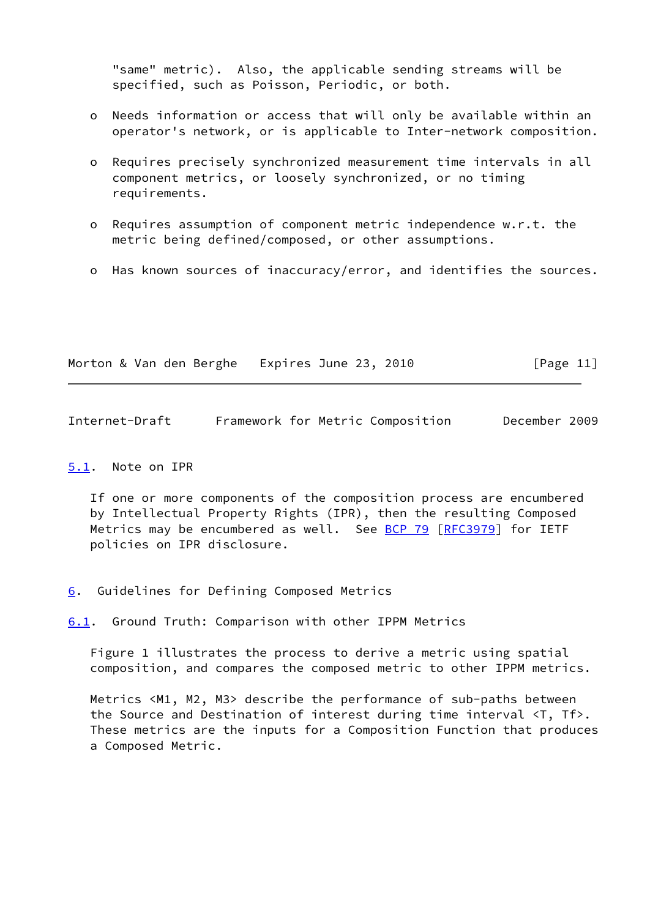"same" metric). Also, the applicable sending streams will be specified, such as Poisson, Periodic, or both.

- o Needs information or access that will only be available within an operator's network, or is applicable to Inter-network composition.
- o Requires precisely synchronized measurement time intervals in all component metrics, or loosely synchronized, or no timing requirements.
- o Requires assumption of component metric independence w.r.t. the metric being defined/composed, or other assumptions.
- o Has known sources of inaccuracy/error, and identifies the sources.

Morton & Van den Berghe Expires June 23, 2010 [Page 11]

<span id="page-12-1"></span>Internet-Draft Framework for Metric Composition December 2009

### <span id="page-12-0"></span>[5.1](#page-12-0). Note on IPR

 If one or more components of the composition process are encumbered by Intellectual Property Rights (IPR), then the resulting Composed Metrics may be encumbered as well. See [BCP 79](https://datatracker.ietf.org/doc/pdf/bcp79) [\[RFC3979](https://datatracker.ietf.org/doc/pdf/rfc3979)] for IETF policies on IPR disclosure.

<span id="page-12-2"></span>[6](#page-12-2). Guidelines for Defining Composed Metrics

<span id="page-12-3"></span>[6.1](#page-12-3). Ground Truth: Comparison with other IPPM Metrics

 Figure 1 illustrates the process to derive a metric using spatial composition, and compares the composed metric to other IPPM metrics.

 Metrics <M1, M2, M3> describe the performance of sub-paths between the Source and Destination of interest during time interval <T, Tf>. These metrics are the inputs for a Composition Function that produces a Composed Metric.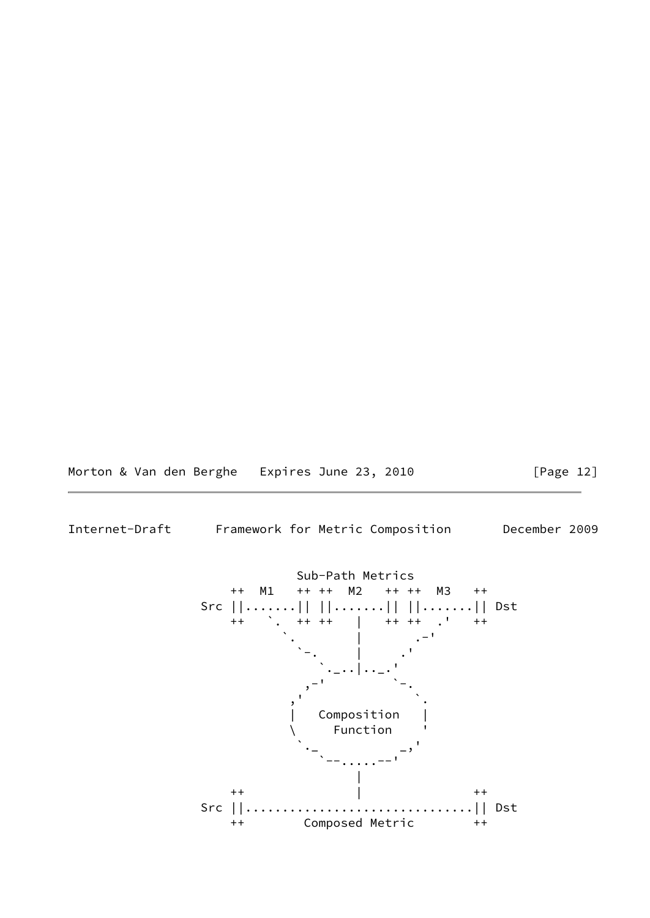Morton & Van den Berghe Expires June 23, 2010 [Page 12]

Internet-Draft Framework for Metric Composition December 2009

 Sub-Path Metrics ++ M1 ++ ++ M2 ++ ++ M3 ++ Src ||.......|| ||.......|| ||.......|| Dst ++ `. ++ ++ | ++ ++ .' ++ . The contract of the contract of  $\mathcal{N}_\bullet$  , we can also the contract of the contract of the contract of `-. | .'  $\sum_{i=1}^n\frac{1}{i}$  . The contract of  $\sum_{i=1}^n\frac{1}{i}$  ,  $\sum_{i=1}^n\frac{1}{i}$  ,  $\sum_{i=1}^n\frac{1}{i}$ , and the set of  $\mathbf{y}$  ,  $\mathbf{y}$  ,  $\mathbf{y}$  ,  $\mathbf{y}$ , where  $\mathcal{C}$  , we have the contract of  $\mathcal{C}$  , we have the contract of  $\mathcal{C}$ Composition **Function**  $\ddotsc$  , and the contract of  $\ddotsc$  , and the contract of  $\ddotsc$  `--.....--' |  $++$   $+$   $+$   $+$  Src ||...............................|| Dst ++ Composed Metric ++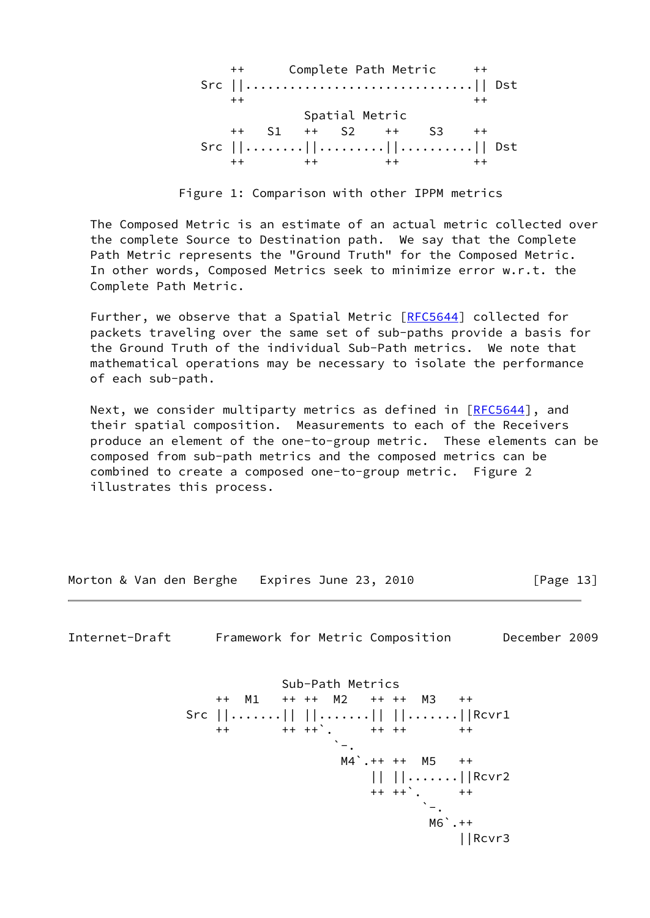++ Complete Path Metric ++ Src ||...............................|| Dst  $++$   $++$   $++$  Spatial Metric ++ S1 ++ S2 ++ S3 ++ Src ||........||.........||..........|| Dst ++ ++ ++ ++ ++ ++

Figure 1: Comparison with other IPPM metrics

 The Composed Metric is an estimate of an actual metric collected over the complete Source to Destination path. We say that the Complete Path Metric represents the "Ground Truth" for the Composed Metric. In other words, Composed Metrics seek to minimize error w.r.t. the Complete Path Metric.

Further, we observe that a Spatial Metric [[RFC5644](https://datatracker.ietf.org/doc/pdf/rfc5644)] collected for packets traveling over the same set of sub-paths provide a basis for the Ground Truth of the individual Sub-Path metrics. We note that mathematical operations may be necessary to isolate the performance of each sub-path.

Next, we consider multiparty metrics as defined in [[RFC5644\]](https://datatracker.ietf.org/doc/pdf/rfc5644), and their spatial composition. Measurements to each of the Receivers produce an element of the one-to-group metric. These elements can be composed from sub-path metrics and the composed metrics can be combined to create a composed one-to-group metric. Figure 2 illustrates this process.

Morton & Van den Berghe Expires June 23, 2010 [Page 13]

<span id="page-14-0"></span>Internet-Draft Framework for Metric Composition December 2009

 Sub-Path Metrics ++ M1 ++ ++ M2 ++ ++ M3 ++ Src ||.......|| ||.......|| ||.......||Rcvr1  $+$  +  $+$  ++  $+$   $+$  +  $+$  ++  $+$  ++  $\sim$  . The contract of the contract of the contract of the contract of the contract of the contract of the contract of the contract of the contract of the contract of the contract of the contract of the contract of the co M4`.++ ++ M5 ++ || ||.......||Rcvr2  $+ + + +$ <sup>2</sup>.  $+ +$  $\sum_{i=1}^n \frac{1}{i!} \sum_{j=1}^n \frac{1}{j!} \sum_{j=1}^n \frac{1}{j!} \sum_{j=1}^n \frac{1}{j!} \sum_{j=1}^n \frac{1}{j!} \sum_{j=1}^n \frac{1}{j!} \sum_{j=1}^n \frac{1}{j!} \sum_{j=1}^n \frac{1}{j!} \sum_{j=1}^n \frac{1}{j!} \sum_{j=1}^n \frac{1}{j!} \sum_{j=1}^n \frac{1}{j!} \sum_{j=1}^n \frac{1}{j!} \sum_{j=1}^n \frac{1}{j!$  $MO^{\sim}$ .  $++$ ||Rcvr3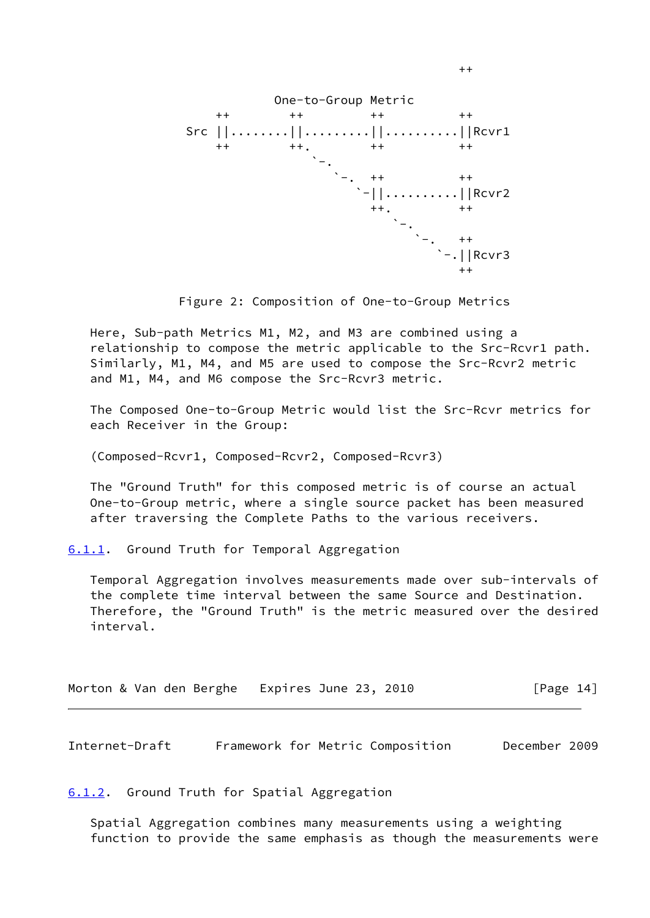

Figure 2: Composition of One-to-Group Metrics

 Here, Sub-path Metrics M1, M2, and M3 are combined using a relationship to compose the metric applicable to the Src-Rcvr1 path. Similarly, M1, M4, and M5 are used to compose the Src-Rcvr2 metric and M1, M4, and M6 compose the Src-Rcvr3 metric.

 The Composed One-to-Group Metric would list the Src-Rcvr metrics for each Receiver in the Group:

(Composed-Rcvr1, Composed-Rcvr2, Composed-Rcvr3)

++

 The "Ground Truth" for this composed metric is of course an actual One-to-Group metric, where a single source packet has been measured after traversing the Complete Paths to the various receivers.

<span id="page-15-0"></span>[6.1.1](#page-15-0). Ground Truth for Temporal Aggregation

 Temporal Aggregation involves measurements made over sub-intervals of the complete time interval between the same Source and Destination. Therefore, the "Ground Truth" is the metric measured over the desired interval.

|  |  |  |  |  | Morton & Van den Berghe Expires June 23, 2010 |  |  |  | [Page 14] |  |
|--|--|--|--|--|-----------------------------------------------|--|--|--|-----------|--|
|--|--|--|--|--|-----------------------------------------------|--|--|--|-----------|--|

<span id="page-15-2"></span>Internet-Draft Framework for Metric Composition December 2009

<span id="page-15-1"></span>[6.1.2](#page-15-1). Ground Truth for Spatial Aggregation

 Spatial Aggregation combines many measurements using a weighting function to provide the same emphasis as though the measurements were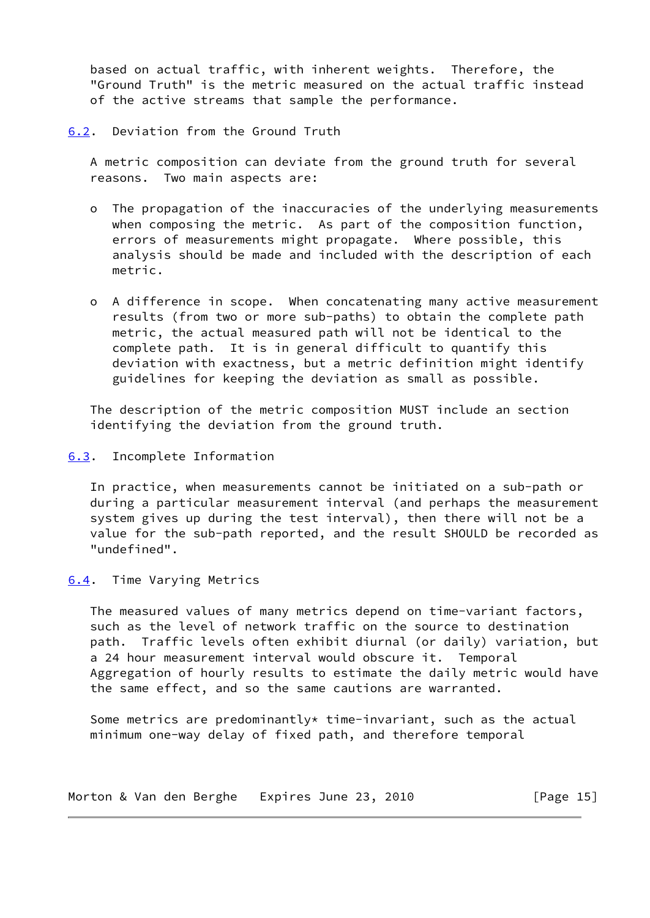based on actual traffic, with inherent weights. Therefore, the "Ground Truth" is the metric measured on the actual traffic instead of the active streams that sample the performance.

<span id="page-16-0"></span>[6.2](#page-16-0). Deviation from the Ground Truth

 A metric composition can deviate from the ground truth for several reasons. Two main aspects are:

- o The propagation of the inaccuracies of the underlying measurements when composing the metric. As part of the composition function, errors of measurements might propagate. Where possible, this analysis should be made and included with the description of each metric.
- o A difference in scope. When concatenating many active measurement results (from two or more sub-paths) to obtain the complete path metric, the actual measured path will not be identical to the complete path. It is in general difficult to quantify this deviation with exactness, but a metric definition might identify guidelines for keeping the deviation as small as possible.

 The description of the metric composition MUST include an section identifying the deviation from the ground truth.

<span id="page-16-1"></span>[6.3](#page-16-1). Incomplete Information

 In practice, when measurements cannot be initiated on a sub-path or during a particular measurement interval (and perhaps the measurement system gives up during the test interval), then there will not be a value for the sub-path reported, and the result SHOULD be recorded as "undefined".

### <span id="page-16-2"></span>[6.4](#page-16-2). Time Varying Metrics

 The measured values of many metrics depend on time-variant factors, such as the level of network traffic on the source to destination path. Traffic levels often exhibit diurnal (or daily) variation, but a 24 hour measurement interval would obscure it. Temporal Aggregation of hourly results to estimate the daily metric would have the same effect, and so the same cautions are warranted.

Some metrics are predominantly\* time-invariant, such as the actual minimum one-way delay of fixed path, and therefore temporal

|  |  |  |  | Morton & Van den Berghe Expires June 23, 2010 |  |  | [Page 15] |  |
|--|--|--|--|-----------------------------------------------|--|--|-----------|--|
|--|--|--|--|-----------------------------------------------|--|--|-----------|--|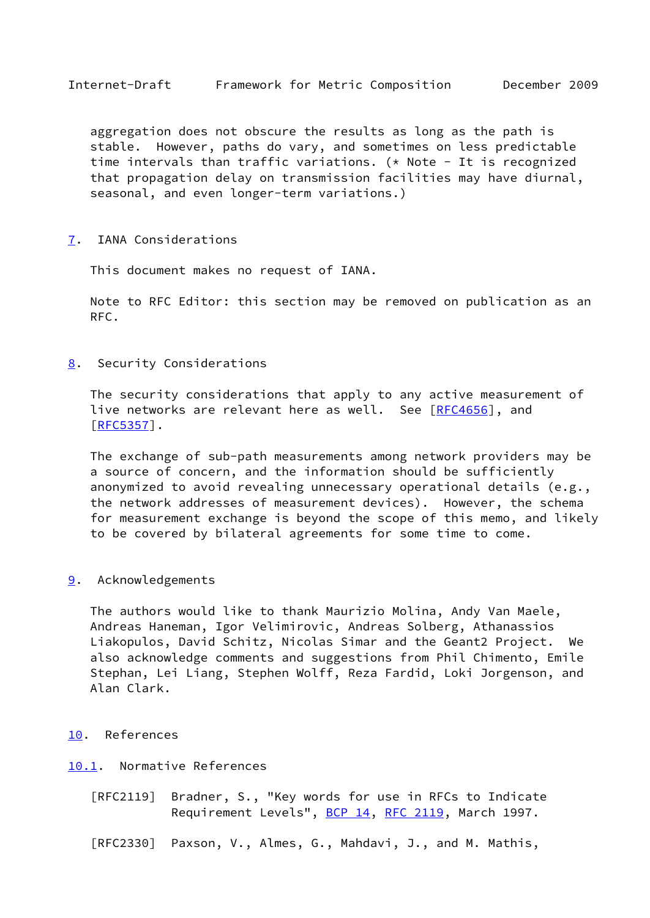<span id="page-17-1"></span> aggregation does not obscure the results as long as the path is stable. However, paths do vary, and sometimes on less predictable time intervals than traffic variations. (\* Note - It is recognized that propagation delay on transmission facilities may have diurnal, seasonal, and even longer-term variations.)

<span id="page-17-0"></span>[7](#page-17-0). IANA Considerations

This document makes no request of IANA.

 Note to RFC Editor: this section may be removed on publication as an RFC.

<span id="page-17-2"></span>[8](#page-17-2). Security Considerations

 The security considerations that apply to any active measurement of live networks are relevant here as well. See [[RFC4656](https://datatracker.ietf.org/doc/pdf/rfc4656)], and [\[RFC5357](https://datatracker.ietf.org/doc/pdf/rfc5357)].

 The exchange of sub-path measurements among network providers may be a source of concern, and the information should be sufficiently anonymized to avoid revealing unnecessary operational details (e.g., the network addresses of measurement devices). However, the schema for measurement exchange is beyond the scope of this memo, and likely to be covered by bilateral agreements for some time to come.

<span id="page-17-3"></span>[9](#page-17-3). Acknowledgements

 The authors would like to thank Maurizio Molina, Andy Van Maele, Andreas Haneman, Igor Velimirovic, Andreas Solberg, Athanassios Liakopulos, David Schitz, Nicolas Simar and the Geant2 Project. We also acknowledge comments and suggestions from Phil Chimento, Emile Stephan, Lei Liang, Stephen Wolff, Reza Fardid, Loki Jorgenson, and Alan Clark.

- <span id="page-17-4"></span>[10.](#page-17-4) References
- <span id="page-17-5"></span>[10.1](#page-17-5). Normative References
	- [RFC2119] Bradner, S., "Key words for use in RFCs to Indicate Requirement Levels", [BCP 14](https://datatracker.ietf.org/doc/pdf/bcp14), [RFC 2119](https://datatracker.ietf.org/doc/pdf/rfc2119), March 1997.
	- [RFC2330] Paxson, V., Almes, G., Mahdavi, J., and M. Mathis,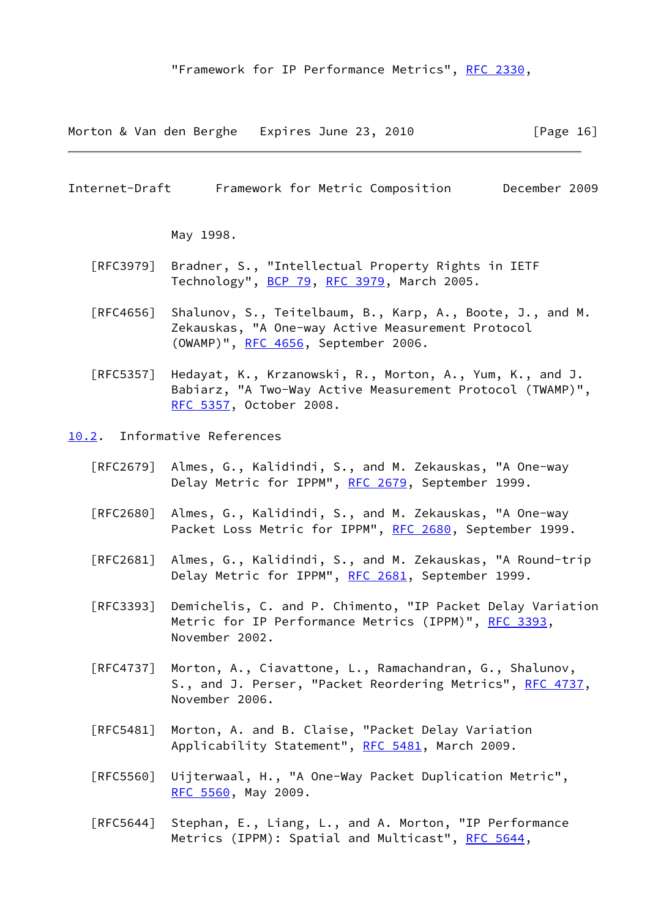Morton & Van den Berghe Expires June 23, 2010 [Page 16]

<span id="page-18-1"></span>Internet-Draft Framework for Metric Composition December 2009

May 1998.

- [RFC3979] Bradner, S., "Intellectual Property Rights in IETF Technology", [BCP 79](https://datatracker.ietf.org/doc/pdf/bcp79), [RFC 3979](https://datatracker.ietf.org/doc/pdf/rfc3979), March 2005.
- [RFC4656] Shalunov, S., Teitelbaum, B., Karp, A., Boote, J., and M. Zekauskas, "A One-way Active Measurement Protocol (OWAMP)", [RFC 4656](https://datatracker.ietf.org/doc/pdf/rfc4656), September 2006.
- [RFC5357] Hedayat, K., Krzanowski, R., Morton, A., Yum, K., and J. Babiarz, "A Two-Way Active Measurement Protocol (TWAMP)", [RFC 5357,](https://datatracker.ietf.org/doc/pdf/rfc5357) October 2008.
- <span id="page-18-0"></span>[10.2](#page-18-0). Informative References
	- [RFC2679] Almes, G., Kalidindi, S., and M. Zekauskas, "A One-way Delay Metric for IPPM", [RFC 2679,](https://datatracker.ietf.org/doc/pdf/rfc2679) September 1999.
	- [RFC2680] Almes, G., Kalidindi, S., and M. Zekauskas, "A One-way Packet Loss Metric for IPPM", [RFC 2680](https://datatracker.ietf.org/doc/pdf/rfc2680), September 1999.
	- [RFC2681] Almes, G., Kalidindi, S., and M. Zekauskas, "A Round-trip Delay Metric for IPPM", [RFC 2681,](https://datatracker.ietf.org/doc/pdf/rfc2681) September 1999.
	- [RFC3393] Demichelis, C. and P. Chimento, "IP Packet Delay Variation Metric for IP Performance Metrics (IPPM)", [RFC 3393](https://datatracker.ietf.org/doc/pdf/rfc3393), November 2002.
	- [RFC4737] Morton, A., Ciavattone, L., Ramachandran, G., Shalunov, S., and J. Perser, "Packet Reordering Metrics", [RFC 4737,](https://datatracker.ietf.org/doc/pdf/rfc4737) November 2006.
	- [RFC5481] Morton, A. and B. Claise, "Packet Delay Variation Applicability Statement", [RFC 5481](https://datatracker.ietf.org/doc/pdf/rfc5481), March 2009.
	- [RFC5560] Uijterwaal, H., "A One-Way Packet Duplication Metric", [RFC 5560,](https://datatracker.ietf.org/doc/pdf/rfc5560) May 2009.
	- [RFC5644] Stephan, E., Liang, L., and A. Morton, "IP Performance Metrics (IPPM): Spatial and Multicast", [RFC 5644,](https://datatracker.ietf.org/doc/pdf/rfc5644)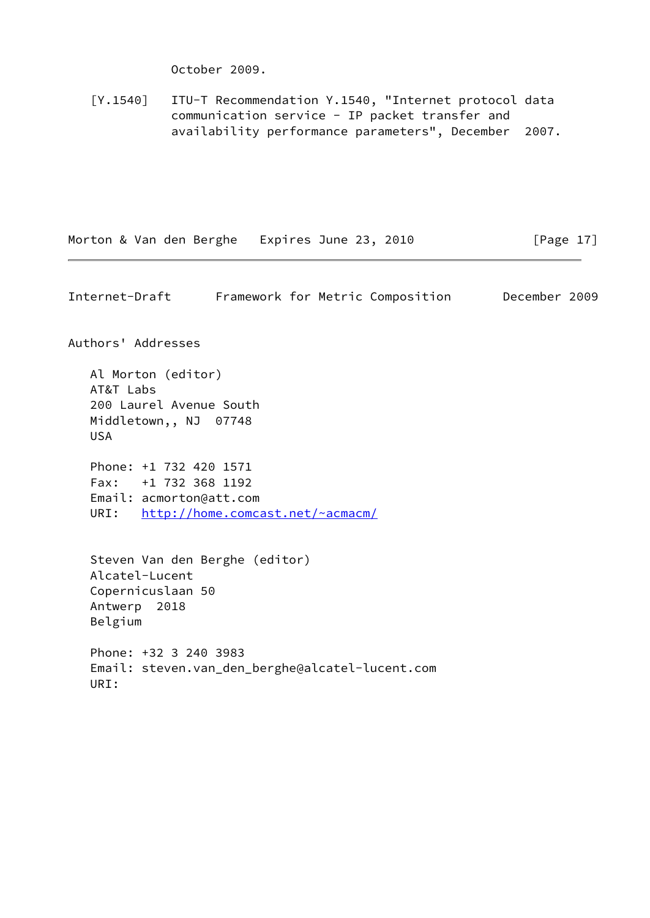October 2009.

<span id="page-19-1"></span> [Y.1540] ITU-T Recommendation Y.1540, "Internet protocol data communication service - IP packet transfer and availability performance parameters", December 2007.

Morton & Van den Berghe Expires June 23, 2010 [Page 17]

<span id="page-19-0"></span>Internet-Draft Framework for Metric Composition December 2009 Authors' Addresses Al Morton (editor) AT&T Labs 200 Laurel Avenue South Middletown,, NJ 07748 USA Phone: +1 732 420 1571 Fax: +1 732 368 1192 Email: acmorton@att.com URI: <http://home.comcast.net/~acmacm/> Steven Van den Berghe (editor) Alcatel-Lucent Copernicuslaan 50 Antwerp 2018 Belgium Phone: +32 3 240 3983 Email: steven.van\_den\_berghe@alcatel-lucent.com URI: